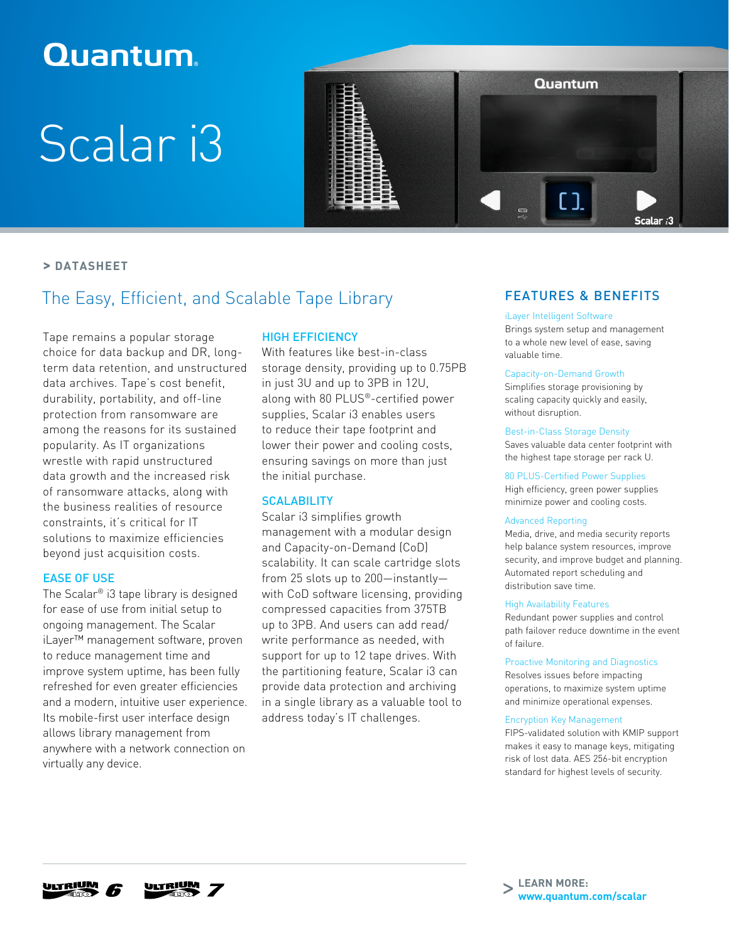## **Quantum**

# Scalar i3



#### **> DATASHEET**

### The Easy, Efficient, and Scalable Tape Library

Tape remains a popular storage choice for data backup and DR, longterm data retention, and unstructured data archives. Tape's cost benefit, durability, portability, and off-line protection from ransomware are among the reasons for its sustained popularity. As IT organizations wrestle with rapid unstructured data growth and the increased risk of ransomware attacks, along with the business realities of resource constraints, it's critical for IT solutions to maximize efficiencies beyond just acquisition costs.

#### EASE OF USE

The Scalar® i3 tape library is designed for ease of use from initial setup to ongoing management. The Scalar iLayer™ management software, proven to reduce management time and improve system uptime, has been fully refreshed for even greater efficiencies and a modern, intuitive user experience. Its mobile-first user interface design allows library management from anywhere with a network connection on virtually any device.

#### HIGH EFFICIENCY

With features like best-in-class storage density, providing up to 0.75PB in just 3U and up to 3PB in 12U, along with 80 PLUS®-certified power supplies, Scalar i3 enables users to reduce their tape footprint and lower their power and cooling costs, ensuring savings on more than just the initial purchase.

#### **SCALABILITY**

Scalar i3 simplifies growth management with a modular design and Capacity-on-Demand (CoD) scalability. It can scale cartridge slots from 25 slots up to 200—instantly with CoD software licensing, providing compressed capacities from 375TB up to 3PB. And users can add read/ write performance as needed, with support for up to 12 tape drives. With the partitioning feature, Scalar i3 can provide data protection and archiving in a single library as a valuable tool to address today's IT challenges.

#### FEATURES & BENEFITS

#### iLayer Intelligent Software

Brings system setup and management to a whole new level of ease, saving valuable time.

#### Capacity-on-Demand Growth

Simplifies storage provisioning by scaling capacity quickly and easily, without disruption.

#### Best-in-Class Storage Density

Saves valuable data center footprint with the highest tape storage per rack U.

80 PLUS-Certified Power Supplies High efficiency, green power supplies minimize power and cooling costs.

#### Advanced Reporting

Media, drive, and media security reports help balance system resources, improve security, and improve budget and planning. Automated report scheduling and distribution save time.

#### High Availability Features

Redundant power supplies and control path failover reduce downtime in the event of failure.

#### Proactive Monitoring and Diagnostics

Resolves issues before impacting operations, to maximize system uptime and minimize operational expenses.

#### Encryption Key Management

FIPS-validated solution with KMIP support makes it easy to manage keys, mitigating risk of lost data. AES 256-bit encryption standard for highest levels of security.





**LEARN MORE:** > **[www.quantum.com/scalar](http://www.quantum.com/products/tapelibraries/index.aspx?utm_source=collateral&utm_campaign=ds00509&utm_medium=pdf)**